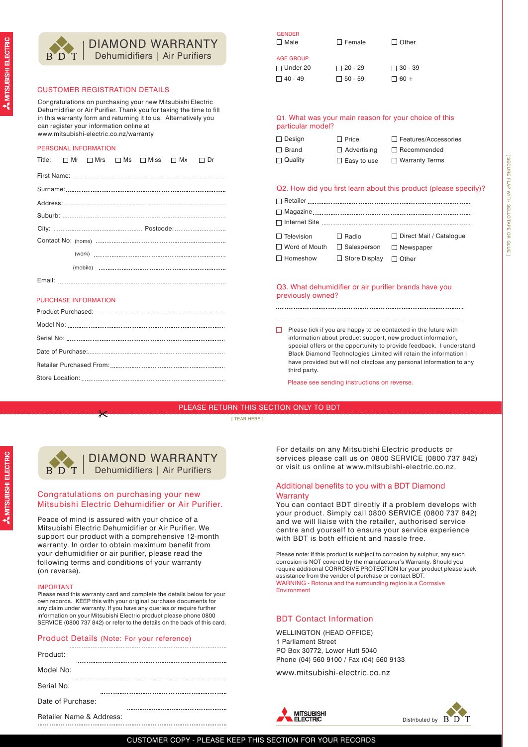

**A MITSUBISHI ELECTRIC** 

# DIAMOND WARRANTY Dehumidifiers | Air Purifiers

# CUSTOMER REGISTRATION DETAILS

Congratulations on purchasing your new Mitsubishi Electric Dehumidifier or Air Purifier. Thank you for taking the time to fill in this warranty form and returning it to us. Alternatively you can register your information online at www.mitsubishi-electric.co.nz/warranty

## PERSONAL INFORMATION

|  |                             | Title: $\Box$ Mr $\Box$ Mrs $\Box$ Ms $\Box$ Miss $\Box$ Mx $\Box$ Dr |  |
|--|-----------------------------|-----------------------------------------------------------------------|--|
|  |                             |                                                                       |  |
|  |                             |                                                                       |  |
|  |                             |                                                                       |  |
|  |                             |                                                                       |  |
|  |                             |                                                                       |  |
|  |                             |                                                                       |  |
|  |                             |                                                                       |  |
|  |                             |                                                                       |  |
|  |                             |                                                                       |  |
|  | <b>PURCHASE INFORMATION</b> |                                                                       |  |

| <b>GENDER</b><br>$\square$ Male | $\Box$ Female  | $\Box$ Other   |
|---------------------------------|----------------|----------------|
| <b>AGE GROUP</b>                |                |                |
| $\Box$ Under 20                 | $\Box$ 20 - 29 | $\Box$ 30 - 39 |
| $\Box$ 40 - 49                  | $\Box$ 50 - 59 | $\Box$ 60 +    |

#### Q1. What was your main reason for your choice of this particular model?

| $\Box$ Design    | $\Box$ Price       | $\Box$ Features/Accessories |
|------------------|--------------------|-----------------------------|
| $\Box$ Brand     | $\Box$ Advertising | $\Box$ Recommended          |
| <b>□ Quality</b> | $\Box$ Easy to use | $\Box$ Warranty Terms       |

### Q2. How did you first learn about this product (please specify)?

| $\Box$ Television $\Box$ Radio |                                                          | □ Direct Mail / Catalogue |
|--------------------------------|----------------------------------------------------------|---------------------------|
|                                | $\Box$ Word of Mouth $\Box$ Salesperson $\Box$ Newspaper |                           |
| $\Box$ Homeshow                | $\Box$ Store Display $\Box$ Other                        |                           |

### Q3. What dehumidifier or air purifier brands have you previously owned?

#### **Please tick if you are happy to be contacted in the future with** information about product support, new product information, special offers or the opportunity to provide feedback. I understand Black Diamond Technologies Limited will retain the information I have provided but will not disclose any personal information to any third party.

Please see sending instructions on reverse.

### PLEASE RETURN THIS SECTION ONLY TO BDT

[ TEAR HERE ]



#### DIAMOND WARRANTY Dehumidifiers | Air Purifiers $B'DT$

# Congratulations on purchasing your new Mitsubishi Electric Dehumidifier or Air Purifier.

Peace of mind is assured with your choice of a Mitsubishi Electric Dehumidifier or Air Purifier. We support our product with a comprehensive 12-month warranty. In order to obtain maximum benefit from your dehumidifier or air purifier, please read the following terms and conditions of your warranty (on reverse).

#### IMPORTANT

Please read this warranty card and complete the details below for your own records. KEEP this with your original purchase documents for any claim under warranty. If you have any queries or require further information on your Mitsubishi Electric product please phone 0800 SERVICE (0800 737 842) or refer to the details on the back of this card.

# Product Details (Note: For your reference)

| Product:                 |
|--------------------------|
| Model No:                |
| Serial No:               |
| Date of Purchase:        |
| Retailer Name & Address: |

For details on any Mitsubishi Electric products or services please call us on 0800 SERVICE (0800 737 842) or visit us online at www.mitsubishi-electric.co.nz.

# Additional benefits to you with a BDT Diamond **Warranty**

You can contact BDT directly if a problem develops with your product. Simply call 0800 SERVICE (0800 737 842) and we will liaise with the retailer, authorised service centre and yourself to ensure your service experience with BDT is both efficient and hassle free.

Please note: If this product is subject to corrosion by sulphur, any such corrosion is NOT covered by the manufacturer's Warranty. Should you require additional CORROSIVE PROTECTION for your product please seek assistance from the vendor of purchase or contact BDT. WARNING - Rotorua and the surrounding region is a Corrosive Environment

# BDT Contact Information

WELLINGTON (HEAD OFFICE) 1 Parliament Street PO Box 30772, Lower Hutt 5040 Phone (04) 560 9100 / Fax (04) 560 9133

www.mitsubishi-electric.co.nz





CUSTOMER COPY - PLEASE KEEP THIS SECTION FOR YOUR RECORDS